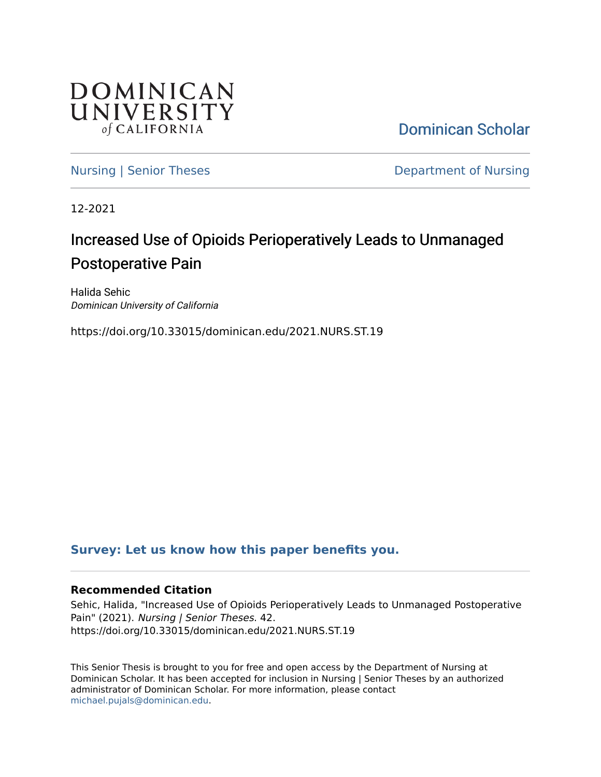

[Dominican Scholar](https://scholar.dominican.edu/) 

[Nursing | Senior Theses](https://scholar.dominican.edu/nursing-senior-theses) **Department of Nursing** 

12-2021

# Increased Use of Opioids Perioperatively Leads to Unmanaged Postoperative Pain

Halida Sehic Dominican University of California

https://doi.org/10.33015/dominican.edu/2021.NURS.ST.19

# **[Survey: Let us know how this paper benefits you.](https://dominican.libwizard.com/dominican-scholar-feedback)**

## **Recommended Citation**

Sehic, Halida, "Increased Use of Opioids Perioperatively Leads to Unmanaged Postoperative Pain" (2021). Nursing | Senior Theses. 42. https://doi.org/10.33015/dominican.edu/2021.NURS.ST.19

This Senior Thesis is brought to you for free and open access by the Department of Nursing at Dominican Scholar. It has been accepted for inclusion in Nursing | Senior Theses by an authorized administrator of Dominican Scholar. For more information, please contact [michael.pujals@dominican.edu.](mailto:michael.pujals@dominican.edu)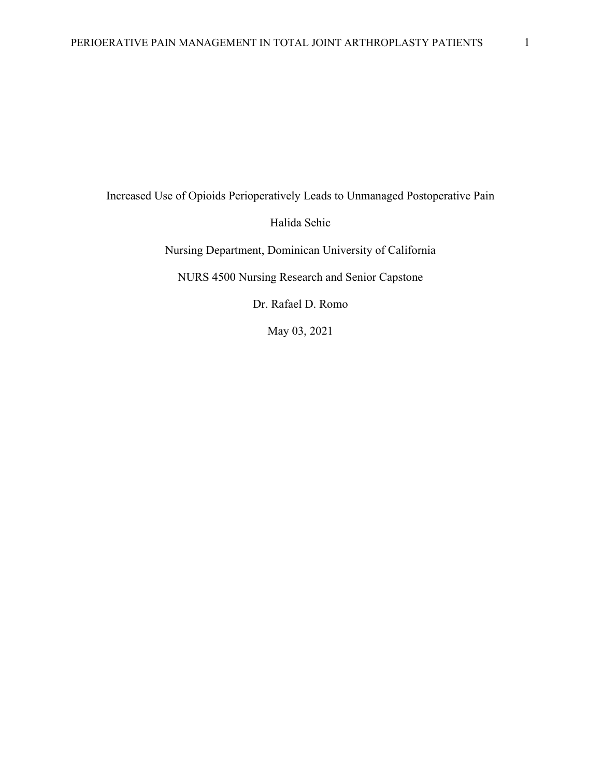Increased Use of Opioids Perioperatively Leads to Unmanaged Postoperative Pain

Halida Sehic

Nursing Department, Dominican University of California

NURS 4500 Nursing Research and Senior Capstone

Dr. Rafael D. Romo

May 03, 2021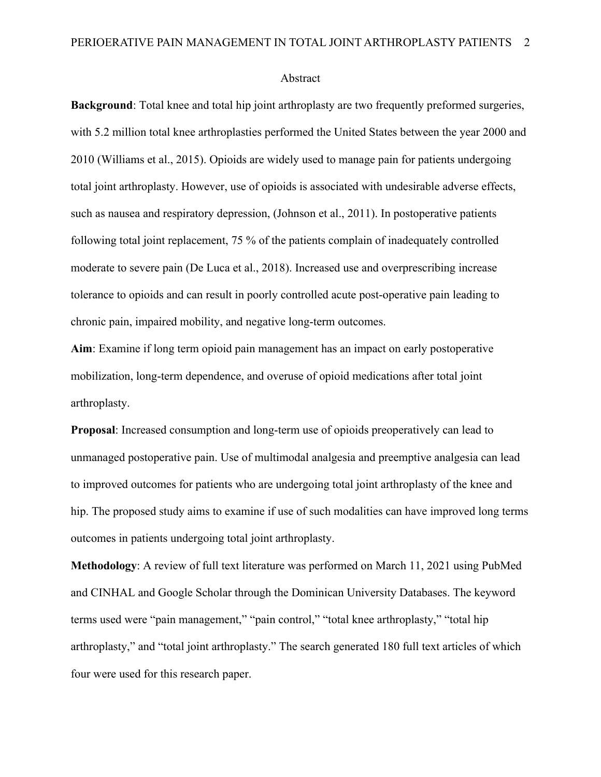#### Abstract

**Background**: Total knee and total hip joint arthroplasty are two frequently preformed surgeries, with 5.2 million total knee arthroplasties performed the United States between the year 2000 and 2010 (Williams et al., 2015). Opioids are widely used to manage pain for patients undergoing total joint arthroplasty. However, use of opioids is associated with undesirable adverse effects, such as nausea and respiratory depression, (Johnson et al., 2011). In postoperative patients following total joint replacement, 75 % of the patients complain of inadequately controlled moderate to severe pain (De Luca et al., 2018). Increased use and overprescribing increase tolerance to opioids and can result in poorly controlled acute post-operative pain leading to chronic pain, impaired mobility, and negative long-term outcomes.

**Aim**: Examine if long term opioid pain management has an impact on early postoperative mobilization, long-term dependence, and overuse of opioid medications after total joint arthroplasty.

**Proposal**: Increased consumption and long-term use of opioids preoperatively can lead to unmanaged postoperative pain. Use of multimodal analgesia and preemptive analgesia can lead to improved outcomes for patients who are undergoing total joint arthroplasty of the knee and hip. The proposed study aims to examine if use of such modalities can have improved long terms outcomes in patients undergoing total joint arthroplasty.

**Methodology**: A review of full text literature was performed on March 11, 2021 using PubMed and CINHAL and Google Scholar through the Dominican University Databases. The keyword terms used were "pain management," "pain control," "total knee arthroplasty," "total hip arthroplasty," and "total joint arthroplasty." The search generated 180 full text articles of which four were used for this research paper.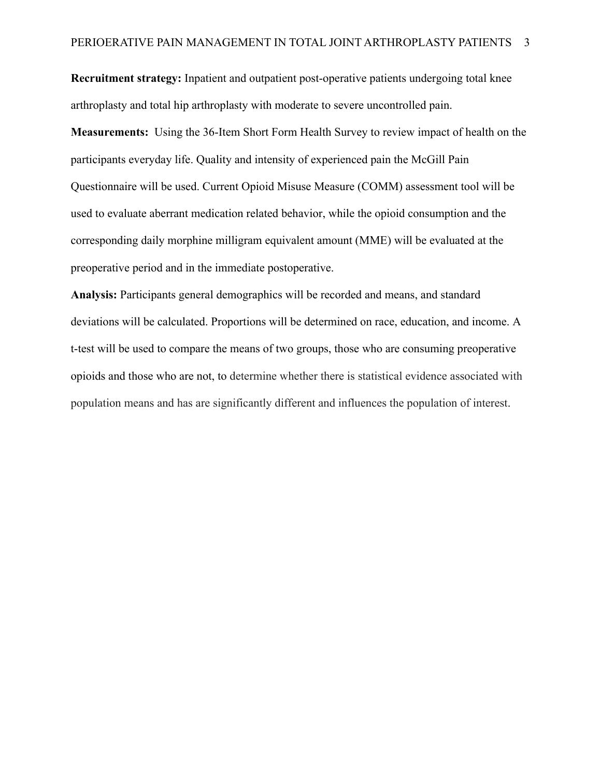**Recruitment strategy:** Inpatient and outpatient post-operative patients undergoing total knee arthroplasty and total hip arthroplasty with moderate to severe uncontrolled pain.

**Measurements:** Using the 36-Item Short Form Health Survey to review impact of health on the participants everyday life. Quality and intensity of experienced pain the McGill Pain Questionnaire will be used. Current Opioid Misuse Measure (COMM) assessment tool will be used to evaluate aberrant medication related behavior, while the opioid consumption and the corresponding daily morphine milligram equivalent amount (MME) will be evaluated at the preoperative period and in the immediate postoperative.

**Analysis:** Participants general demographics will be recorded and means, and standard deviations will be calculated. Proportions will be determined on race, education, and income. A t-test will be used to compare the means of two groups, those who are consuming preoperative opioids and those who are not, to determine whether there is statistical evidence associated with population means and has are significantly different and influences the population of interest.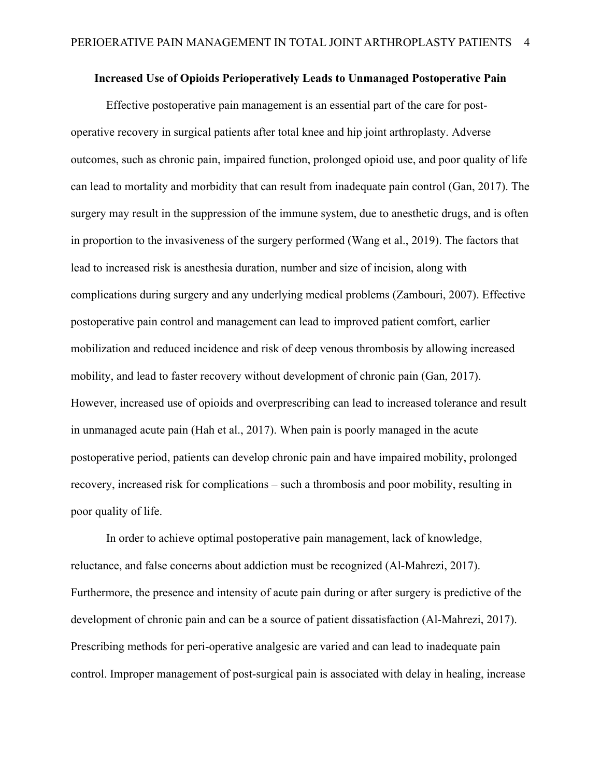#### **Increased Use of Opioids Perioperatively Leads to Unmanaged Postoperative Pain**

Effective postoperative pain management is an essential part of the care for postoperative recovery in surgical patients after total knee and hip joint arthroplasty. Adverse outcomes, such as chronic pain, impaired function, prolonged opioid use, and poor quality of life can lead to mortality and morbidity that can result from inadequate pain control (Gan, 2017). The surgery may result in the suppression of the immune system, due to anesthetic drugs, and is often in proportion to the invasiveness of the surgery performed (Wang et al., 2019). The factors that lead to increased risk is anesthesia duration, number and size of incision, along with complications during surgery and any underlying medical problems (Zambouri, 2007). Effective postoperative pain control and management can lead to improved patient comfort, earlier mobilization and reduced incidence and risk of deep venous thrombosis by allowing increased mobility, and lead to faster recovery without development of chronic pain (Gan, 2017). However, increased use of opioids and overprescribing can lead to increased tolerance and result in unmanaged acute pain (Hah et al., 2017). When pain is poorly managed in the acute postoperative period, patients can develop chronic pain and have impaired mobility, prolonged recovery, increased risk for complications – such a thrombosis and poor mobility, resulting in poor quality of life.

In order to achieve optimal postoperative pain management, lack of knowledge, reluctance, and false concerns about addiction must be recognized (Al-Mahrezi, 2017). Furthermore, the presence and intensity of acute pain during or after surgery is predictive of the development of chronic pain and can be a source of patient dissatisfaction (Al-Mahrezi, 2017). Prescribing methods for peri-operative analgesic are varied and can lead to inadequate pain control. Improper management of post-surgical pain is associated with delay in healing, increase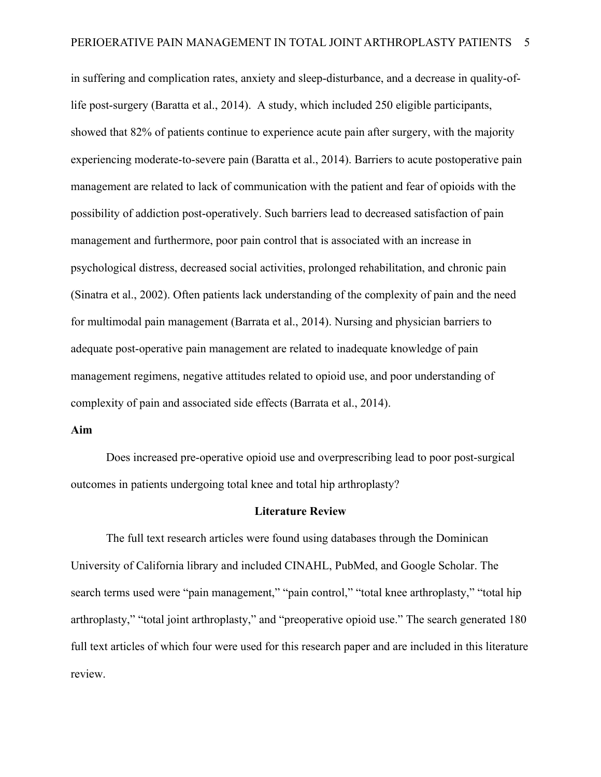in suffering and complication rates, anxiety and sleep-disturbance, and a decrease in quality-oflife post-surgery (Baratta et al., 2014). A study, which included 250 eligible participants, showed that 82% of patients continue to experience acute pain after surgery, with the majority experiencing moderate-to-severe pain (Baratta et al., 2014). Barriers to acute postoperative pain management are related to lack of communication with the patient and fear of opioids with the possibility of addiction post-operatively. Such barriers lead to decreased satisfaction of pain management and furthermore, poor pain control that is associated with an increase in psychological distress, decreased social activities, prolonged rehabilitation, and chronic pain (Sinatra et al., 2002). Often patients lack understanding of the complexity of pain and the need for multimodal pain management (Barrata et al., 2014). Nursing and physician barriers to adequate post-operative pain management are related to inadequate knowledge of pain management regimens, negative attitudes related to opioid use, and poor understanding of complexity of pain and associated side effects (Barrata et al., 2014).

#### **Aim**

Does increased pre-operative opioid use and overprescribing lead to poor post-surgical outcomes in patients undergoing total knee and total hip arthroplasty?

#### **Literature Review**

The full text research articles were found using databases through the Dominican University of California library and included CINAHL, PubMed, and Google Scholar. The search terms used were "pain management," "pain control," "total knee arthroplasty," "total hip arthroplasty," "total joint arthroplasty," and "preoperative opioid use." The search generated 180 full text articles of which four were used for this research paper and are included in this literature review.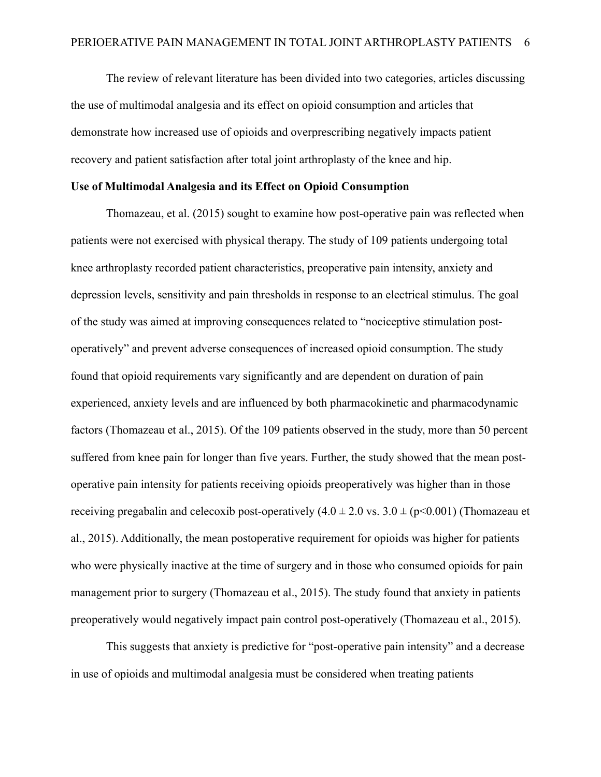The review of relevant literature has been divided into two categories, articles discussing the use of multimodal analgesia and its effect on opioid consumption and articles that demonstrate how increased use of opioids and overprescribing negatively impacts patient recovery and patient satisfaction after total joint arthroplasty of the knee and hip.

#### **Use of Multimodal Analgesia and its Effect on Opioid Consumption**

Thomazeau, et al. (2015) sought to examine how post-operative pain was reflected when patients were not exercised with physical therapy. The study of 109 patients undergoing total knee arthroplasty recorded patient characteristics, preoperative pain intensity, anxiety and depression levels, sensitivity and pain thresholds in response to an electrical stimulus. The goal of the study was aimed at improving consequences related to "nociceptive stimulation postoperatively" and prevent adverse consequences of increased opioid consumption. The study found that opioid requirements vary significantly and are dependent on duration of pain experienced, anxiety levels and are influenced by both pharmacokinetic and pharmacodynamic factors (Thomazeau et al., 2015). Of the 109 patients observed in the study, more than 50 percent suffered from knee pain for longer than five years. Further, the study showed that the mean postoperative pain intensity for patients receiving opioids preoperatively was higher than in those receiving pregabalin and celecoxib post-operatively  $(4.0 \pm 2.0 \text{ vs. } 3.0 \pm (\text{p} < 0.001))$  (Thomazeau et al., 2015). Additionally, the mean postoperative requirement for opioids was higher for patients who were physically inactive at the time of surgery and in those who consumed opioids for pain management prior to surgery (Thomazeau et al., 2015). The study found that anxiety in patients preoperatively would negatively impact pain control post-operatively (Thomazeau et al., 2015).

This suggests that anxiety is predictive for "post-operative pain intensity" and a decrease in use of opioids and multimodal analgesia must be considered when treating patients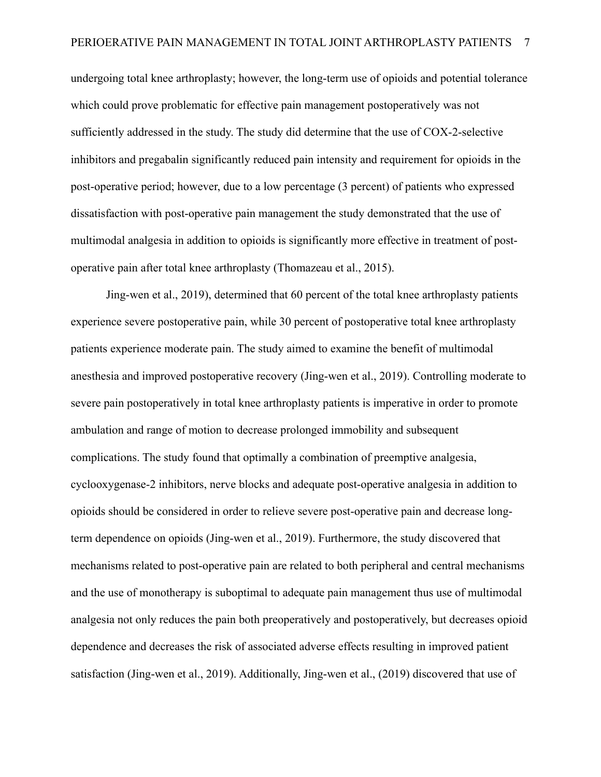undergoing total knee arthroplasty; however, the long-term use of opioids and potential tolerance which could prove problematic for effective pain management postoperatively was not sufficiently addressed in the study. The study did determine that the use of COX-2-selective inhibitors and pregabalin significantly reduced pain intensity and requirement for opioids in the post-operative period; however, due to a low percentage (3 percent) of patients who expressed dissatisfaction with post-operative pain management the study demonstrated that the use of multimodal analgesia in addition to opioids is significantly more effective in treatment of postoperative pain after total knee arthroplasty (Thomazeau et al., 2015).

Jing-wen et al., 2019), determined that 60 percent of the total knee arthroplasty patients experience severe postoperative pain, while 30 percent of postoperative total knee arthroplasty patients experience moderate pain. The study aimed to examine the benefit of multimodal anesthesia and improved postoperative recovery (Jing-wen et al., 2019). Controlling moderate to severe pain postoperatively in total knee arthroplasty patients is imperative in order to promote ambulation and range of motion to decrease prolonged immobility and subsequent complications. The study found that optimally a combination of preemptive analgesia, cyclooxygenase-2 inhibitors, nerve blocks and adequate post-operative analgesia in addition to opioids should be considered in order to relieve severe post-operative pain and decrease longterm dependence on opioids (Jing-wen et al., 2019). Furthermore, the study discovered that mechanisms related to post-operative pain are related to both peripheral and central mechanisms and the use of monotherapy is suboptimal to adequate pain management thus use of multimodal analgesia not only reduces the pain both preoperatively and postoperatively, but decreases opioid dependence and decreases the risk of associated adverse effects resulting in improved patient satisfaction (Jing-wen et al., 2019). Additionally, Jing-wen et al., (2019) discovered that use of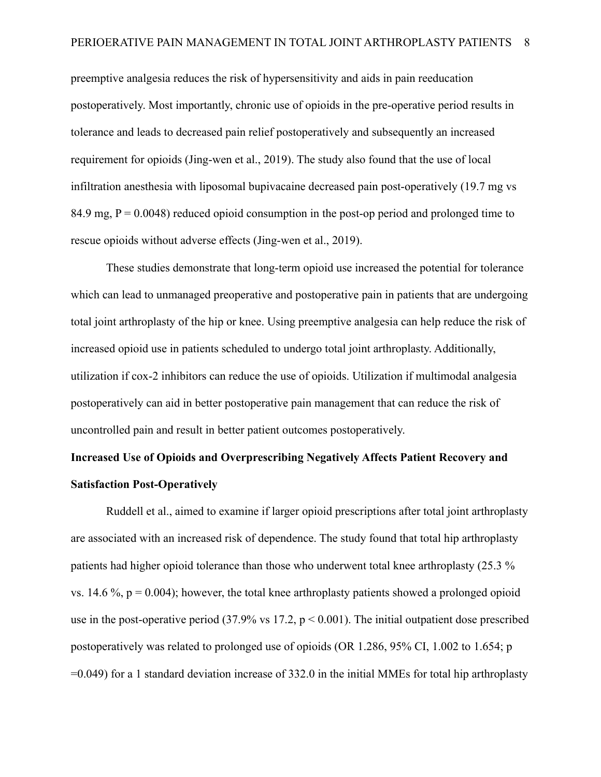preemptive analgesia reduces the risk of hypersensitivity and aids in pain reeducation postoperatively. Most importantly, chronic use of opioids in the pre-operative period results in tolerance and leads to decreased pain relief postoperatively and subsequently an increased requirement for opioids (Jing-wen et al., 2019). The study also found that the use of local infiltration anesthesia with liposomal bupivacaine decreased pain post-operatively (19.7 mg vs 84.9 mg,  $P = 0.0048$ ) reduced opioid consumption in the post-op period and prolonged time to rescue opioids without adverse effects (Jing-wen et al., 2019).

These studies demonstrate that long-term opioid use increased the potential for tolerance which can lead to unmanaged preoperative and postoperative pain in patients that are undergoing total joint arthroplasty of the hip or knee. Using preemptive analgesia can help reduce the risk of increased opioid use in patients scheduled to undergo total joint arthroplasty. Additionally, utilization if cox-2 inhibitors can reduce the use of opioids. Utilization if multimodal analgesia postoperatively can aid in better postoperative pain management that can reduce the risk of uncontrolled pain and result in better patient outcomes postoperatively.

# **Increased Use of Opioids and Overprescribing Negatively Affects Patient Recovery and Satisfaction Post-Operatively**

Ruddell et al., aimed to examine if larger opioid prescriptions after total joint arthroplasty are associated with an increased risk of dependence. The study found that total hip arthroplasty patients had higher opioid tolerance than those who underwent total knee arthroplasty (25.3 % vs. 14.6  $\%$ ,  $p = 0.004$ ; however, the total knee arthroplasty patients showed a prolonged opioid use in the post-operative period (37.9% vs 17.2,  $p < 0.001$ ). The initial outpatient dose prescribed postoperatively was related to prolonged use of opioids (OR 1.286, 95% CI, 1.002 to 1.654; p =0.049) for a 1 standard deviation increase of 332.0 in the initial MMEs for total hip arthroplasty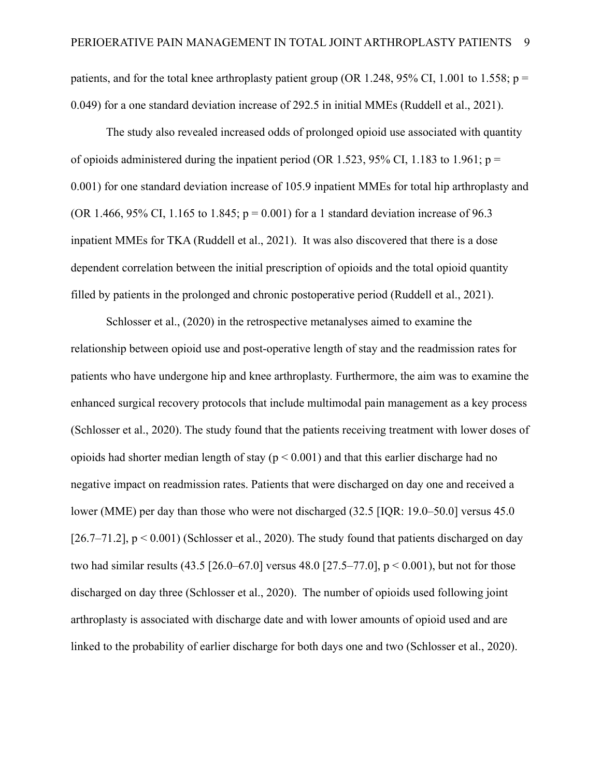patients, and for the total knee arthroplasty patient group (OR 1.248, 95% CI, 1.001 to 1.558;  $p =$ 0.049) for a one standard deviation increase of 292.5 in initial MMEs (Ruddell et al., 2021).

The study also revealed increased odds of prolonged opioid use associated with quantity of opioids administered during the inpatient period (OR 1.523, 95% CI, 1.183 to 1.961;  $p =$ 0.001) for one standard deviation increase of 105.9 inpatient MMEs for total hip arthroplasty and (OR 1.466, 95% CI, 1.165 to 1.845;  $p = 0.001$ ) for a 1 standard deviation increase of 96.3 inpatient MMEs for TKA (Ruddell et al., 2021). It was also discovered that there is a dose dependent correlation between the initial prescription of opioids and the total opioid quantity filled by patients in the prolonged and chronic postoperative period (Ruddell et al., 2021).

Schlosser et al., (2020) in the retrospective metanalyses aimed to examine the relationship between opioid use and post-operative length of stay and the readmission rates for patients who have undergone hip and knee arthroplasty. Furthermore, the aim was to examine the enhanced surgical recovery protocols that include multimodal pain management as a key process (Schlosser et al., 2020). The study found that the patients receiving treatment with lower doses of opioids had shorter median length of stay ( $p < 0.001$ ) and that this earlier discharge had no negative impact on readmission rates. Patients that were discharged on day one and received a lower (MME) per day than those who were not discharged (32.5 [IQR: 19.0–50.0] versus 45.0 [26.7–71.2],  $p < 0.001$ ) (Schlosser et al., 2020). The study found that patients discharged on day two had similar results  $(43.5 \, [26.0 - 67.0]$  versus  $48.0 \, [27.5 - 77.0]$ ,  $p < 0.001$ ), but not for those discharged on day three (Schlosser et al., 2020). The number of opioids used following joint arthroplasty is associated with discharge date and with lower amounts of opioid used and are linked to the probability of earlier discharge for both days one and two (Schlosser et al., 2020).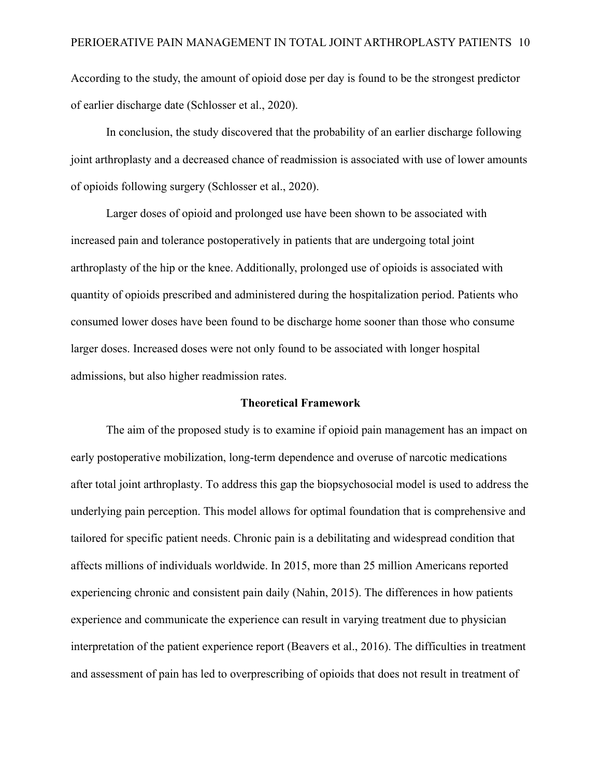According to the study, the amount of opioid dose per day is found to be the strongest predictor of earlier discharge date (Schlosser et al., 2020).

In conclusion, the study discovered that the probability of an earlier discharge following joint arthroplasty and a decreased chance of readmission is associated with use of lower amounts of opioids following surgery (Schlosser et al., 2020).

Larger doses of opioid and prolonged use have been shown to be associated with increased pain and tolerance postoperatively in patients that are undergoing total joint arthroplasty of the hip or the knee. Additionally, prolonged use of opioids is associated with quantity of opioids prescribed and administered during the hospitalization period. Patients who consumed lower doses have been found to be discharge home sooner than those who consume larger doses. Increased doses were not only found to be associated with longer hospital admissions, but also higher readmission rates.

#### **Theoretical Framework**

The aim of the proposed study is to examine if opioid pain management has an impact on early postoperative mobilization, long-term dependence and overuse of narcotic medications after total joint arthroplasty. To address this gap the biopsychosocial model is used to address the underlying pain perception. This model allows for optimal foundation that is comprehensive and tailored for specific patient needs. Chronic pain is a debilitating and widespread condition that affects millions of individuals worldwide. In 2015, more than 25 million Americans reported experiencing chronic and consistent pain daily (Nahin, 2015). The differences in how patients experience and communicate the experience can result in varying treatment due to physician interpretation of the patient experience report (Beavers et al., 2016). The difficulties in treatment and assessment of pain has led to overprescribing of opioids that does not result in treatment of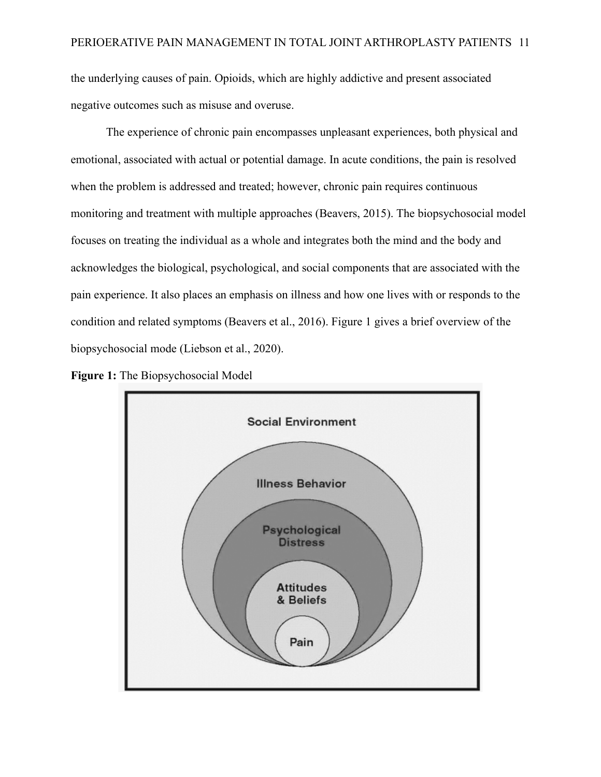the underlying causes of pain. Opioids, which are highly addictive and present associated negative outcomes such as misuse and overuse.

The experience of chronic pain encompasses unpleasant experiences, both physical and emotional, associated with actual or potential damage. In acute conditions, the pain is resolved when the problem is addressed and treated; however, chronic pain requires continuous monitoring and treatment with multiple approaches (Beavers, 2015). The biopsychosocial model focuses on treating the individual as a whole and integrates both the mind and the body and acknowledges the biological, psychological, and social components that are associated with the pain experience. It also places an emphasis on illness and how one lives with or responds to the condition and related symptoms (Beavers et al., 2016). Figure 1 gives a brief overview of the biopsychosocial mode (Liebson et al., 2020).



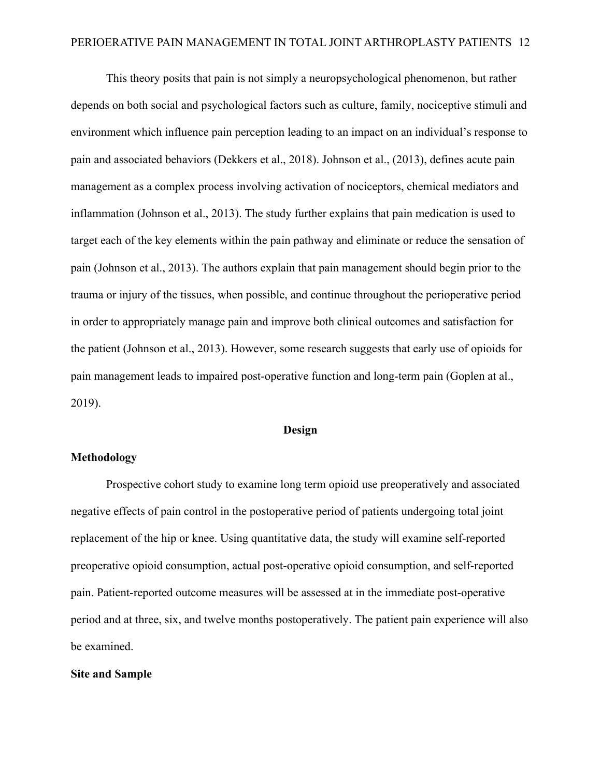This theory posits that pain is not simply a neuropsychological phenomenon, but rather depends on both social and psychological factors such as culture, family, nociceptive stimuli and environment which influence pain perception leading to an impact on an individual's response to pain and associated behaviors (Dekkers et al., 2018). Johnson et al., (2013), defines acute pain management as a complex process involving activation of nociceptors, chemical mediators and inflammation (Johnson et al., 2013). The study further explains that pain medication is used to target each of the key elements within the pain pathway and eliminate or reduce the sensation of pain (Johnson et al., 2013). The authors explain that pain management should begin prior to the trauma or injury of the tissues, when possible, and continue throughout the perioperative period in order to appropriately manage pain and improve both clinical outcomes and satisfaction for the patient (Johnson et al., 2013). However, some research suggests that early use of opioids for pain management leads to impaired post-operative function and long-term pain (Goplen at al., 2019).

#### **Design**

### **Methodology**

Prospective cohort study to examine long term opioid use preoperatively and associated negative effects of pain control in the postoperative period of patients undergoing total joint replacement of the hip or knee. Using quantitative data, the study will examine self-reported preoperative opioid consumption, actual post-operative opioid consumption, and self-reported pain. Patient-reported outcome measures will be assessed at in the immediate post-operative period and at three, six, and twelve months postoperatively. The patient pain experience will also be examined.

#### **Site and Sample**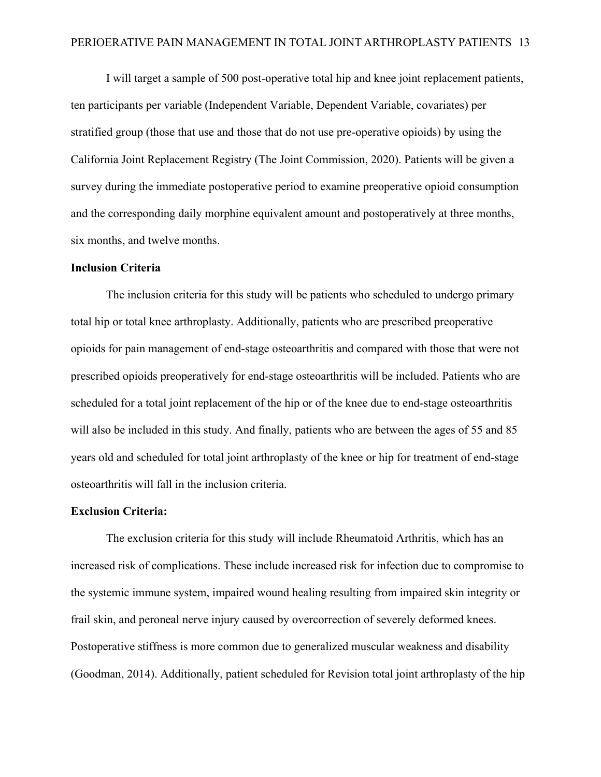I will target a sample of 500 post-operative total hip and knee joint replacement patients, ten participants per variable (Independent Variable, Dependent Variable, covariates) per stratified group (those that use and those that do not use pre-operative opioids) by using the California Joint Replacement Registry (The Joint Commission, 2020). Patients will be given a survey during the immediate postoperative period to examine preoperative opioid consumption and the corresponding daily morphine equivalent amount and postoperatively at three months, six months, and twelve months.

#### **Inclusion Criteria**

The inclusion criteria for this study will be patients who scheduled to undergo primary total hip or total knee arthroplasty. Additionally, patients who are prescribed preoperative opioids for pain management of end-stage osteoarthritis and compared with those that were not prescribed opioids preoperatively for end-stage osteoarthritis will be included. Patients who are scheduled for a total joint replacement of the hip or of the knee due to end-stage osteoarthritis will also be included in this study. And finally, patients who are between the ages of 55 and 85 years old and scheduled for total joint arthroplasty of the knee or hip for treatment of end-stage osteoarthritis will fall in the inclusion criteria.

#### **Exclusion Criteria:**

The exclusion criteria for this study will include Rheumatoid Arthritis, which has an increased risk of complications. These include increased risk for infection due to compromise to the systemic immune system, impaired wound healing resulting from impaired skin integrity or frail skin, and peroneal nerve injury caused by overcorrection of severely deformed knees. Postoperative stiffness is more common due to generalized muscular weakness and disability (Goodman, 2014). Additionally, patient scheduled for Revision total joint arthroplasty of the hip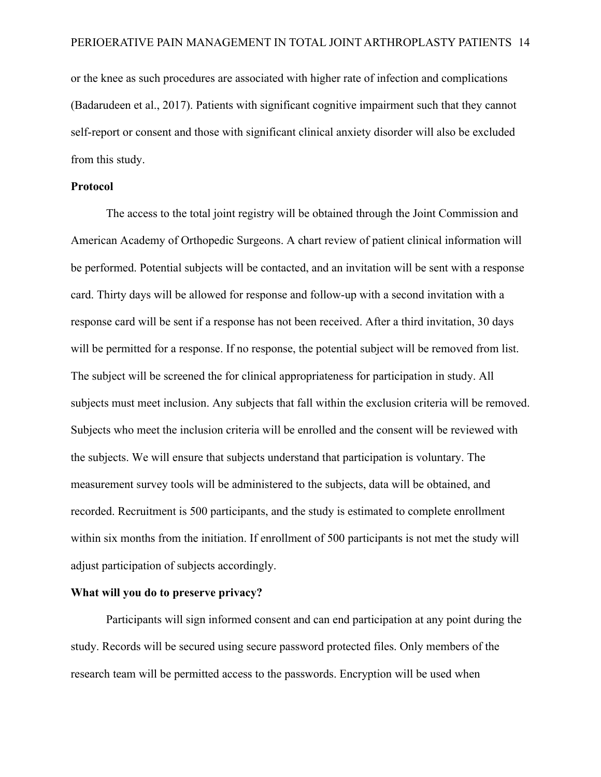or the knee as such procedures are associated with higher rate of infection and complications (Badarudeen et al., 2017). Patients with significant cognitive impairment such that they cannot self-report or consent and those with significant clinical anxiety disorder will also be excluded from this study.

#### **Protocol**

The access to the total joint registry will be obtained through the Joint Commission and American Academy of Orthopedic Surgeons. A chart review of patient clinical information will be performed. Potential subjects will be contacted, and an invitation will be sent with a response card. Thirty days will be allowed for response and follow-up with a second invitation with a response card will be sent if a response has not been received. After a third invitation, 30 days will be permitted for a response. If no response, the potential subject will be removed from list. The subject will be screened the for clinical appropriateness for participation in study. All subjects must meet inclusion. Any subjects that fall within the exclusion criteria will be removed. Subjects who meet the inclusion criteria will be enrolled and the consent will be reviewed with the subjects. We will ensure that subjects understand that participation is voluntary. The measurement survey tools will be administered to the subjects, data will be obtained, and recorded. Recruitment is 500 participants, and the study is estimated to complete enrollment within six months from the initiation. If enrollment of 500 participants is not met the study will adjust participation of subjects accordingly.

#### **What will you do to preserve privacy?**

Participants will sign informed consent and can end participation at any point during the study. Records will be secured using secure password protected files. Only members of the research team will be permitted access to the passwords. Encryption will be used when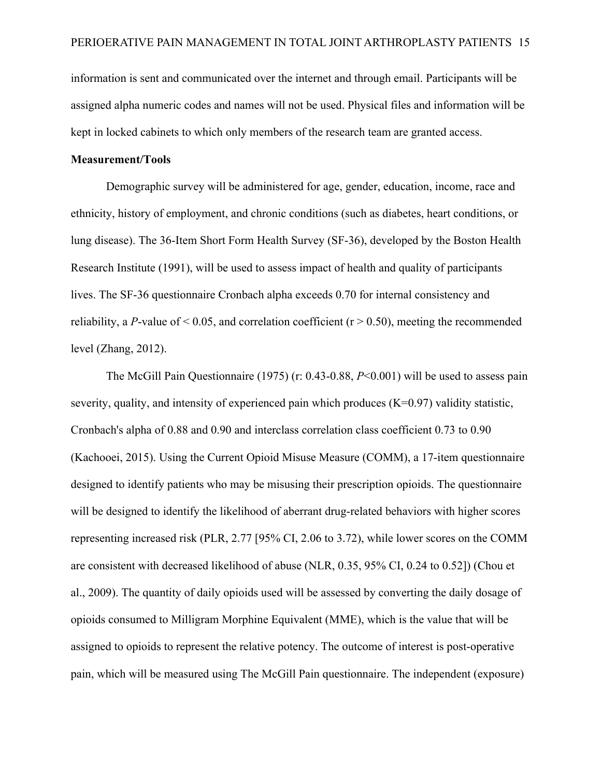information is sent and communicated over the internet and through email. Participants will be assigned alpha numeric codes and names will not be used. Physical files and information will be kept in locked cabinets to which only members of the research team are granted access.

## **Measurement/Tools**

Demographic survey will be administered for age, gender, education, income, race and ethnicity, history of employment, and chronic conditions (such as diabetes, heart conditions, or lung disease). The 36-Item Short Form Health Survey (SF-36), developed by the Boston Health Research Institute (1991), will be used to assess impact of health and quality of participants lives. The SF-36 questionnaire Cronbach alpha exceeds 0.70 for internal consistency and reliability, a *P*-value of  $\leq$  0.05, and correlation coefficient ( $r$   $>$  0.50), meeting the recommended level (Zhang, 2012).

The McGill Pain Questionnaire (1975) (r: 0.43-0.88, *P*<0.001) will be used to assess pain severity, quality, and intensity of experienced pain which produces  $(K=0.97)$  validity statistic, Cronbach's alpha of 0.88 and 0.90 and interclass correlation class coefficient 0.73 to 0.90 (Kachooei, 2015). Using the Current Opioid Misuse Measure (COMM), a 17-item questionnaire designed to identify patients who may be misusing their prescription opioids. The questionnaire will be designed to identify the likelihood of aberrant drug-related behaviors with higher scores representing increased risk (PLR, 2.77 [95% CI, 2.06 to 3.72), while lower scores on the COMM are consistent with decreased likelihood of abuse (NLR, 0.35, 95% CI, 0.24 to 0.52]) (Chou et al., 2009). The quantity of daily opioids used will be assessed by converting the daily dosage of opioids consumed to Milligram Morphine Equivalent (MME), which is the value that will be assigned to opioids to represent the relative potency. The outcome of interest is post-operative pain, which will be measured using The McGill Pain questionnaire. The independent (exposure)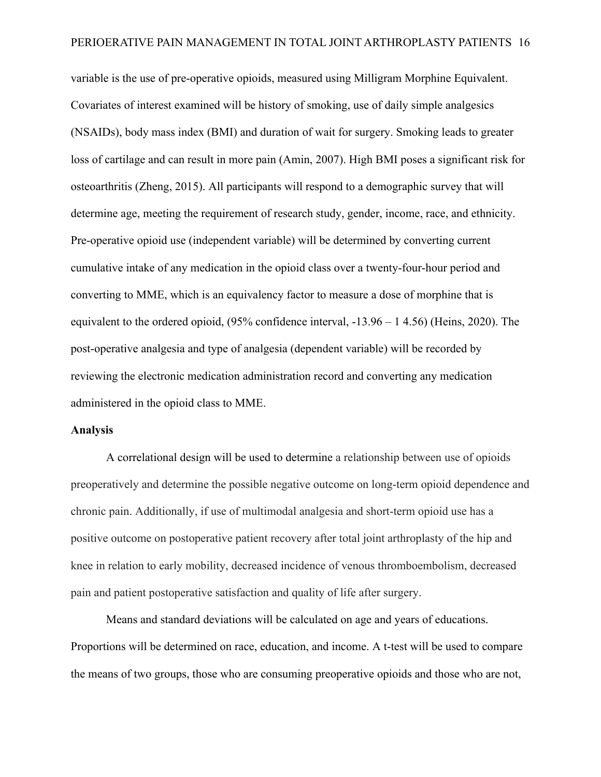variable is the use of pre-operative opioids, measured using Milligram Morphine Equivalent. Covariates of interest examined will be history of smoking, use of daily simple analgesics (NSAIDs), body mass index (BMI) and duration of wait for surgery. Smoking leads to greater loss of cartilage and can result in more pain (Amin, 2007). High BMI poses a significant risk for osteoarthritis (Zheng, 2015). All participants will respond to a demographic survey that will determine age, meeting the requirement of research study, gender, income, race, and ethnicity. Pre-operative opioid use (independent variable) will be determined by converting current cumulative intake of any medication in the opioid class over a twenty-four-hour period and converting to MME, which is an equivalency factor to measure a dose of morphine that is equivalent to the ordered opioid, (95% confidence interval, -13.96 – 1 4.56) (Heins, 2020). The post-operative analgesia and type of analgesia (dependent variable) will be recorded by reviewing the electronic medication administration record and converting any medication administered in the opioid class to MME.

#### **Analysis**

A correlational design will be used to determine a relationship between use of opioids preoperatively and determine the possible negative outcome on long-term opioid dependence and chronic pain. Additionally, if use of multimodal analgesia and short-term opioid use has a positive outcome on postoperative patient recovery after total joint arthroplasty of the hip and knee in relation to early mobility, decreased incidence of venous thromboembolism, decreased pain and patient postoperative satisfaction and quality of life after surgery.

Means and standard deviations will be calculated on age and years of educations. Proportions will be determined on race, education, and income. A t-test will be used to compare the means of two groups, those who are consuming preoperative opioids and those who are not,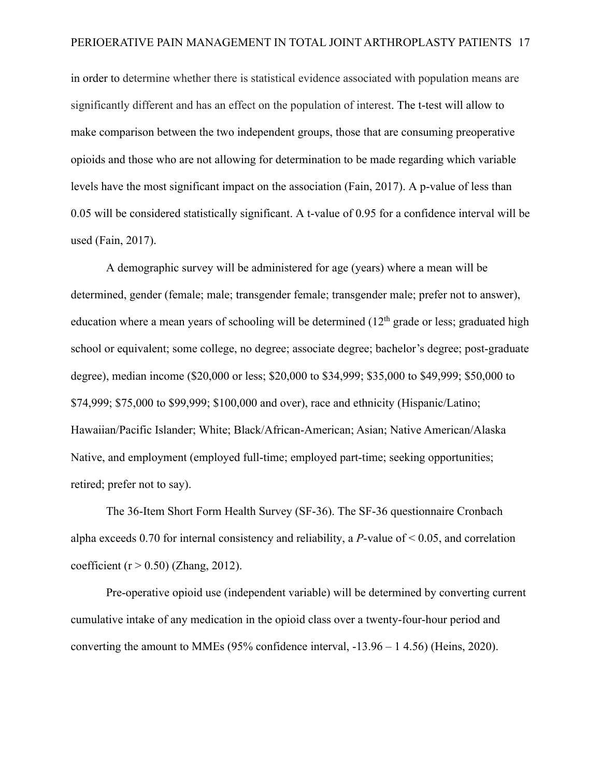in order to determine whether there is statistical evidence associated with population means are significantly different and has an effect on the population of interest. The t-test will allow to make comparison between the two independent groups, those that are consuming preoperative opioids and those who are not allowing for determination to be made regarding which variable levels have the most significant impact on the association (Fain, 2017). A p-value of less than 0.05 will be considered statistically significant. A t-value of 0.95 for a confidence interval will be used (Fain, 2017).

A demographic survey will be administered for age (years) where a mean will be determined, gender (female; male; transgender female; transgender male; prefer not to answer), education where a mean years of schooling will be determined  $(12<sup>th</sup>$  grade or less; graduated high school or equivalent; some college, no degree; associate degree; bachelor's degree; post-graduate degree), median income (\$20,000 or less; \$20,000 to \$34,999; \$35,000 to \$49,999; \$50,000 to \$74,999; \$75,000 to \$99,999; \$100,000 and over), race and ethnicity (Hispanic/Latino; Hawaiian/Pacific Islander; White; Black/African-American; Asian; Native American/Alaska Native, and employment (employed full-time; employed part-time; seeking opportunities; retired; prefer not to say).

The 36-Item Short Form Health Survey (SF-36). The SF-36 questionnaire Cronbach alpha exceeds 0.70 for internal consistency and reliability, a  $P$ -value of  $\leq$  0.05, and correlation coefficient ( $r > 0.50$ ) (Zhang, 2012).

Pre-operative opioid use (independent variable) will be determined by converting current cumulative intake of any medication in the opioid class over a twenty-four-hour period and converting the amount to MMEs (95% confidence interval, -13.96 – 1 4.56) (Heins, 2020).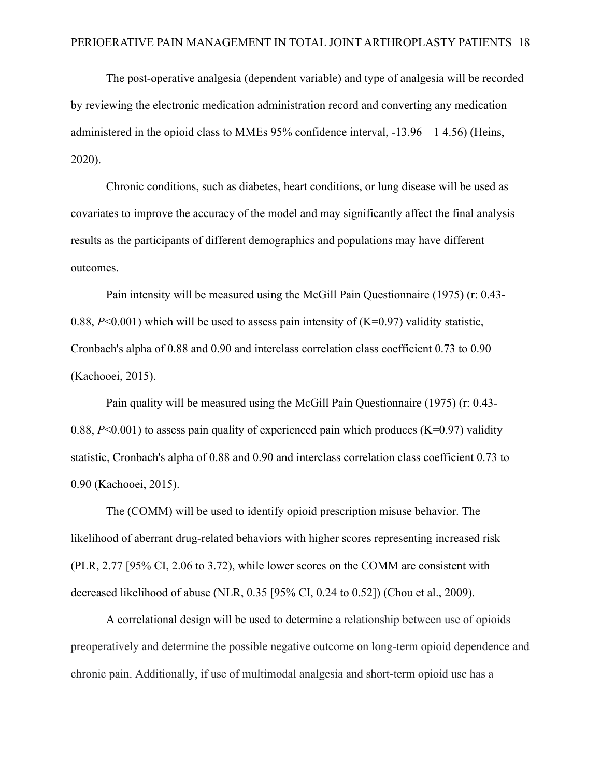The post-operative analgesia (dependent variable) and type of analgesia will be recorded by reviewing the electronic medication administration record and converting any medication administered in the opioid class to MMEs 95% confidence interval, -13.96 – 1 4.56) (Heins, 2020).

Chronic conditions, such as diabetes, heart conditions, or lung disease will be used as covariates to improve the accuracy of the model and may significantly affect the final analysis results as the participants of different demographics and populations may have different outcomes.

Pain intensity will be measured using the McGill Pain Questionnaire (1975) (r: 0.43- 0.88,  $P<0.001$ ) which will be used to assess pain intensity of  $(K=0.97)$  validity statistic, Cronbach's alpha of 0.88 and 0.90 and interclass correlation class coefficient 0.73 to 0.90 (Kachooei, 2015).

Pain quality will be measured using the McGill Pain Questionnaire (1975) (r: 0.43- 0.88,  $P<0.001$ ) to assess pain quality of experienced pain which produces (K=0.97) validity statistic, Cronbach's alpha of 0.88 and 0.90 and interclass correlation class coefficient 0.73 to 0.90 (Kachooei, 2015).

The (COMM) will be used to identify opioid prescription misuse behavior. The likelihood of aberrant drug-related behaviors with higher scores representing increased risk (PLR, 2.77 [95% CI, 2.06 to 3.72), while lower scores on the COMM are consistent with decreased likelihood of abuse (NLR, 0.35 [95% CI, 0.24 to 0.52]) (Chou et al., 2009).

A correlational design will be used to determine a relationship between use of opioids preoperatively and determine the possible negative outcome on long-term opioid dependence and chronic pain. Additionally, if use of multimodal analgesia and short-term opioid use has a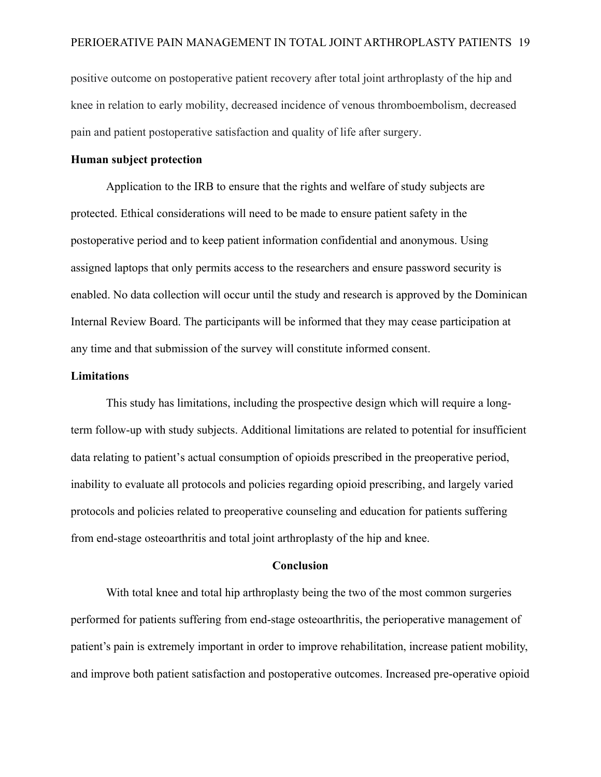positive outcome on postoperative patient recovery after total joint arthroplasty of the hip and knee in relation to early mobility, decreased incidence of venous thromboembolism, decreased pain and patient postoperative satisfaction and quality of life after surgery.

#### **Human subject protection**

Application to the IRB to ensure that the rights and welfare of study subjects are protected. Ethical considerations will need to be made to ensure patient safety in the postoperative period and to keep patient information confidential and anonymous. Using assigned laptops that only permits access to the researchers and ensure password security is enabled. No data collection will occur until the study and research is approved by the Dominican Internal Review Board. The participants will be informed that they may cease participation at any time and that submission of the survey will constitute informed consent.

#### **Limitations**

This study has limitations, including the prospective design which will require a longterm follow-up with study subjects. Additional limitations are related to potential for insufficient data relating to patient's actual consumption of opioids prescribed in the preoperative period, inability to evaluate all protocols and policies regarding opioid prescribing, and largely varied protocols and policies related to preoperative counseling and education for patients suffering from end-stage osteoarthritis and total joint arthroplasty of the hip and knee.

#### **Conclusion**

With total knee and total hip arthroplasty being the two of the most common surgeries performed for patients suffering from end-stage osteoarthritis, the perioperative management of patient's pain is extremely important in order to improve rehabilitation, increase patient mobility, and improve both patient satisfaction and postoperative outcomes. Increased pre-operative opioid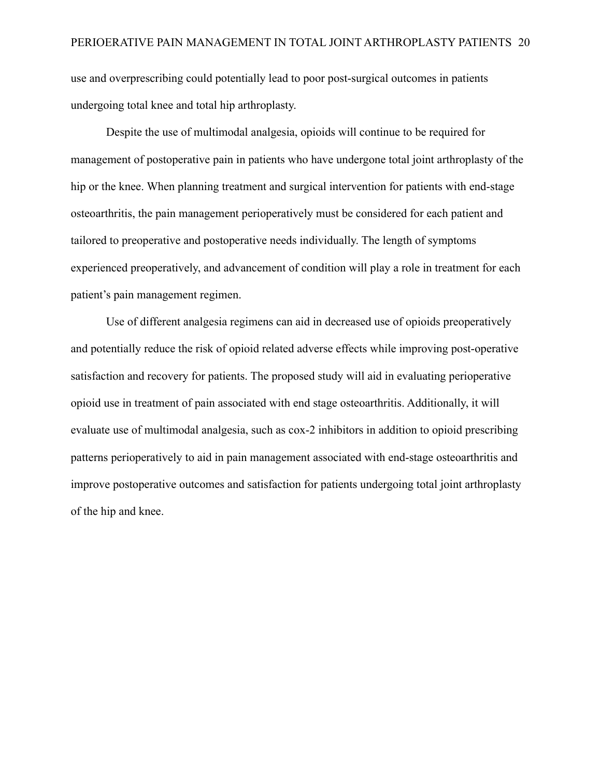use and overprescribing could potentially lead to poor post-surgical outcomes in patients undergoing total knee and total hip arthroplasty.

Despite the use of multimodal analgesia, opioids will continue to be required for management of postoperative pain in patients who have undergone total joint arthroplasty of the hip or the knee. When planning treatment and surgical intervention for patients with end-stage osteoarthritis, the pain management perioperatively must be considered for each patient and tailored to preoperative and postoperative needs individually. The length of symptoms experienced preoperatively, and advancement of condition will play a role in treatment for each patient's pain management regimen.

Use of different analgesia regimens can aid in decreased use of opioids preoperatively and potentially reduce the risk of opioid related adverse effects while improving post-operative satisfaction and recovery for patients. The proposed study will aid in evaluating perioperative opioid use in treatment of pain associated with end stage osteoarthritis. Additionally, it will evaluate use of multimodal analgesia, such as cox-2 inhibitors in addition to opioid prescribing patterns perioperatively to aid in pain management associated with end-stage osteoarthritis and improve postoperative outcomes and satisfaction for patients undergoing total joint arthroplasty of the hip and knee.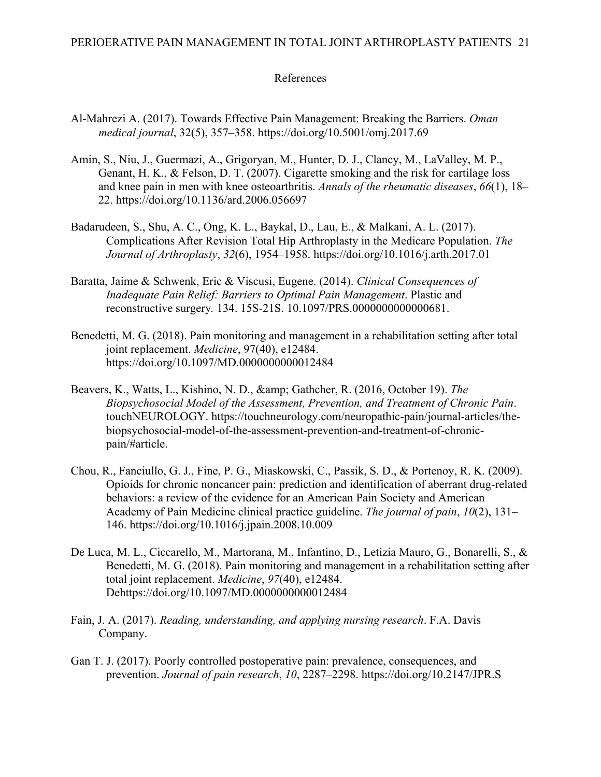## References

- Al-Mahrezi A. (2017). Towards Effective Pain Management: Breaking the Barriers. *Oman medical journal*, 32(5), 357–358. https://doi.org/10.5001/omj.2017.69
- Amin, S., Niu, J., Guermazi, A., Grigoryan, M., Hunter, D. J., Clancy, M., LaValley, M. P., Genant, H. K., & Felson, D. T. (2007). Cigarette smoking and the risk for cartilage loss and knee pain in men with knee osteoarthritis. *Annals of the rheumatic diseases*, *66*(1), 18– 22. https://doi.org/10.1136/ard.2006.056697
- Badarudeen, S., Shu, A. C., Ong, K. L., Baykal, D., Lau, E., & Malkani, A. L. (2017). Complications After Revision Total Hip Arthroplasty in the Medicare Population. *The Journal of Arthroplasty*, *32*(6), 1954–1958. https://doi.org/10.1016/j.arth.2017.01
- Baratta, Jaime & Schwenk, Eric & Viscusi, Eugene. (2014). *Clinical Consequences of Inadequate Pain Relief: Barriers to Optimal Pain Management*. Plastic and reconstructive surgery*.* 134. 15S-21S. 10.1097/PRS.0000000000000681.
- Benedetti, M. G. (2018). Pain monitoring and management in a rehabilitation setting after total joint replacement. *Medicine*, 97(40), e12484. https://doi.org/10.1097/MD.0000000000012484
- Beavers, K., Watts, L., Kishino, N. D., & Gathcher, R. (2016, October 19). *The Biopsychosocial Model of the Assessment, Prevention, and Treatment of Chronic Pain*. touchNEUROLOGY. https://touchneurology.com/neuropathic-pain/journal-articles/thebiopsychosocial-model-of-the-assessment-prevention-and-treatment-of-chronicpain/#article.
- Chou, R., Fanciullo, G. J., Fine, P. G., Miaskowski, C., Passik, S. D., & Portenoy, R. K. (2009). Opioids for chronic noncancer pain: prediction and identification of aberrant drug-related behaviors: a review of the evidence for an American Pain Society and American Academy of Pain Medicine clinical practice guideline. *The journal of pain*, *10*(2), 131– 146. https://doi.org/10.1016/j.jpain.2008.10.009
- De Luca, M. L., Ciccarello, M., Martorana, M., Infantino, D., Letizia Mauro, G., Bonarelli, S., & Benedetti, M. G. (2018). Pain monitoring and management in a rehabilitation setting after total joint replacement. *Medicine*, *97*(40), e12484. Dehttps://doi.org/10.1097/MD.0000000000012484
- Fain, J. A. (2017). *Reading, understanding, and applying nursing research*. F.A. Davis Company.
- Gan T. J. (2017). Poorly controlled postoperative pain: prevalence, consequences, and prevention. *Journal of pain research*, *10*, 2287–2298. https://doi.org/10.2147/JPR.S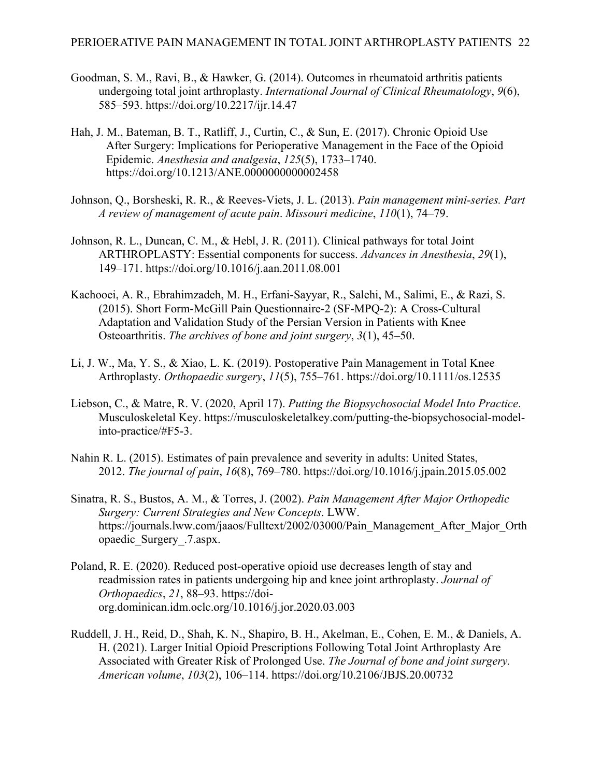- Goodman, S. M., Ravi, B., & Hawker, G. (2014). Outcomes in rheumatoid arthritis patients undergoing total joint arthroplasty. *International Journal of Clinical Rheumatology*, *9*(6), 585–593. https://doi.org/10.2217/ijr.14.47
- Hah, J. M., Bateman, B. T., Ratliff, J., Curtin, C., & Sun, E. (2017). Chronic Opioid Use After Surgery: Implications for Perioperative Management in the Face of the Opioid Epidemic. *Anesthesia and analgesia*, *125*(5), 1733–1740. https://doi.org/10.1213/ANE.0000000000002458
- Johnson, Q., Borsheski, R. R., & Reeves-Viets, J. L. (2013). *Pain management mini-series. Part A review of management of acute pain*. *Missouri medicine*, *110*(1), 74–79.
- Johnson, R. L., Duncan, C. M., & Hebl, J. R. (2011). Clinical pathways for total Joint ARTHROPLASTY: Essential components for success. *Advances in Anesthesia*, *29*(1), 149–171. https://doi.org/10.1016/j.aan.2011.08.001
- Kachooei, A. R., Ebrahimzadeh, M. H., Erfani-Sayyar, R., Salehi, M., Salimi, E., & Razi, S. (2015). Short Form-McGill Pain Questionnaire-2 (SF-MPQ-2): A Cross-Cultural Adaptation and Validation Study of the Persian Version in Patients with Knee Osteoarthritis. *The archives of bone and joint surgery*, *3*(1), 45–50.
- Li, J. W., Ma, Y. S., & Xiao, L. K. (2019). Postoperative Pain Management in Total Knee Arthroplasty. *Orthopaedic surgery*, *11*(5), 755–761. https://doi.org/10.1111/os.12535
- Liebson, C., & Matre, R. V. (2020, April 17). *Putting the Biopsychosocial Model Into Practice*. Musculoskeletal Key. https://musculoskeletalkey.com/putting-the-biopsychosocial-modelinto-practice/#F5-3.
- Nahin R. L. (2015). Estimates of pain prevalence and severity in adults: United States, 2012. *The journal of pain*, *16*(8), 769–780. https://doi.org/10.1016/j.jpain.2015.05.002
- Sinatra, R. S., Bustos, A. M., & Torres, J. (2002). *Pain Management After Major Orthopedic Surgery: Current Strategies and New Concepts*. LWW. https://journals.lww.com/jaaos/Fulltext/2002/03000/Pain\_Management\_After\_Major\_Orth opaedic\_Surgery\_.7.aspx.
- Poland, R. E. (2020). Reduced post-operative opioid use decreases length of stay and readmission rates in patients undergoing hip and knee joint arthroplasty. *Journal of Orthopaedics*, *21*, 88–93. https://doiorg.dominican.idm.oclc.org/10.1016/j.jor.2020.03.003
- Ruddell, J. H., Reid, D., Shah, K. N., Shapiro, B. H., Akelman, E., Cohen, E. M., & Daniels, A. H. (2021). Larger Initial Opioid Prescriptions Following Total Joint Arthroplasty Are Associated with Greater Risk of Prolonged Use. *The Journal of bone and joint surgery. American volume*, *103*(2), 106–114. https://doi.org/10.2106/JBJS.20.00732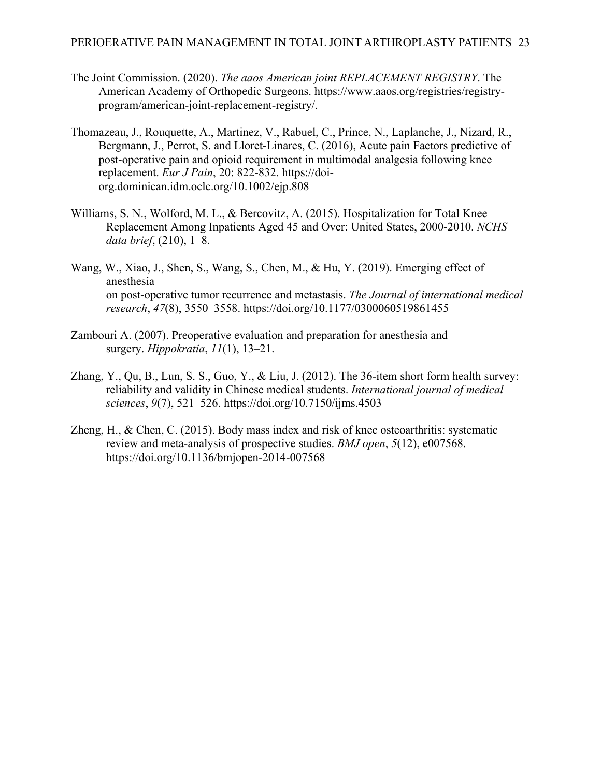- The Joint Commission. (2020). *The aaos American joint REPLACEMENT REGISTRY*. The American Academy of Orthopedic Surgeons. https://www.aaos.org/registries/registryprogram/american-joint-replacement-registry/.
- Thomazeau, J., Rouquette, A., Martinez, V., Rabuel, C., Prince, N., Laplanche, J., Nizard, R., Bergmann, J., Perrot, S. and Lloret-Linares, C. (2016), Acute pain Factors predictive of post‐operative pain and opioid requirement in multimodal analgesia following knee replacement. *Eur J Pain*, 20: 822-832. https://doiorg.dominican.idm.oclc.org/10.1002/ejp.808
- Williams, S. N., Wolford, M. L., & Bercovitz, A. (2015). Hospitalization for Total Knee Replacement Among Inpatients Aged 45 and Over: United States, 2000-2010. *NCHS data brief*, (210), 1–8.
- Wang, W., Xiao, J., Shen, S., Wang, S., Chen, M., & Hu, Y. (2019). Emerging effect of anesthesia on post-operative tumor recurrence and metastasis. *The Journal of international medical research*, *47*(8), 3550–3558. https://doi.org/10.1177/0300060519861455
- Zambouri A. (2007). Preoperative evaluation and preparation for anesthesia and surgery. *Hippokratia*, *11*(1), 13–21.
- Zhang, Y., Qu, B., Lun, S. S., Guo, Y., & Liu, J. (2012). The 36-item short form health survey: reliability and validity in Chinese medical students. *International journal of medical sciences*, *9*(7), 521–526. https://doi.org/10.7150/ijms.4503
- Zheng, H., & Chen, C. (2015). Body mass index and risk of knee osteoarthritis: systematic review and meta-analysis of prospective studies. *BMJ open*, *5*(12), e007568. https://doi.org/10.1136/bmjopen-2014-007568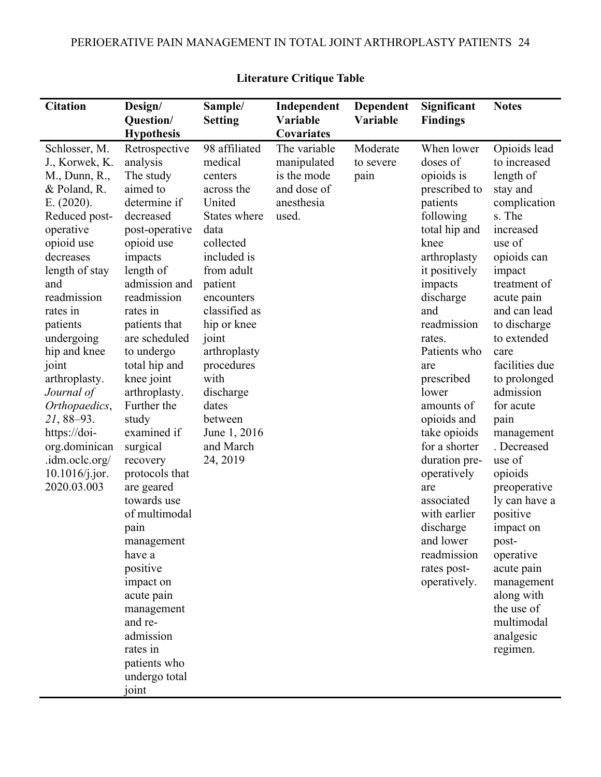| <b>Citation</b>                                                                                                                                                                                                                                                                                                                                                                                      | Design/                                                                                                                                                                                                                                                                                                                                                                                                                                                                                                                                                                               | Sample/                                                                                                                                                                                                                                                                                                         | Independent                                                                      | Dependent                     | Significant                                                                                                                                                                                                                                                                                                                                                                                                                                               | <b>Notes</b>                                                                                                                                                                                                                                                                                                                                                                                                                                                                                                              |
|------------------------------------------------------------------------------------------------------------------------------------------------------------------------------------------------------------------------------------------------------------------------------------------------------------------------------------------------------------------------------------------------------|---------------------------------------------------------------------------------------------------------------------------------------------------------------------------------------------------------------------------------------------------------------------------------------------------------------------------------------------------------------------------------------------------------------------------------------------------------------------------------------------------------------------------------------------------------------------------------------|-----------------------------------------------------------------------------------------------------------------------------------------------------------------------------------------------------------------------------------------------------------------------------------------------------------------|----------------------------------------------------------------------------------|-------------------------------|-----------------------------------------------------------------------------------------------------------------------------------------------------------------------------------------------------------------------------------------------------------------------------------------------------------------------------------------------------------------------------------------------------------------------------------------------------------|---------------------------------------------------------------------------------------------------------------------------------------------------------------------------------------------------------------------------------------------------------------------------------------------------------------------------------------------------------------------------------------------------------------------------------------------------------------------------------------------------------------------------|
|                                                                                                                                                                                                                                                                                                                                                                                                      | Question/<br><b>Hypothesis</b>                                                                                                                                                                                                                                                                                                                                                                                                                                                                                                                                                        | <b>Setting</b>                                                                                                                                                                                                                                                                                                  | Variable<br>Covariates                                                           | Variable                      | <b>Findings</b>                                                                                                                                                                                                                                                                                                                                                                                                                                           |                                                                                                                                                                                                                                                                                                                                                                                                                                                                                                                           |
| Schlosser, M.<br>J., Korwek, K.<br>M., Dunn, R.,<br>& Poland, R.<br>E. (2020).<br>Reduced post-<br>operative<br>opioid use<br>decreases<br>length of stay<br>and<br>readmission<br>rates in<br>patients<br>undergoing<br>hip and knee<br>joint<br>arthroplasty.<br>Journal of<br>Orthopaedics,<br>$21,88-93.$<br>https://doi-<br>org.dominican<br>.idm.oclc.org/<br>$10.1016$ /j.jor.<br>2020.03.003 | Retrospective<br>analysis<br>The study<br>aimed to<br>determine if<br>decreased<br>post-operative<br>opioid use<br>impacts<br>length of<br>admission and<br>readmission<br>rates in<br>patients that<br>are scheduled<br>to undergo<br>total hip and<br>knee joint<br>arthroplasty.<br>Further the<br>study<br>examined if<br>surgical<br>recovery<br>protocols that<br>are geared<br>towards use<br>of multimodal<br>pain<br>management<br>have a<br>positive<br>impact on<br>acute pain<br>management<br>and re-<br>admission<br>rates in<br>patients who<br>undergo total<br>joint | 98 affiliated<br>medical<br>centers<br>across the<br>United<br>States where<br>data<br>collected<br>included is<br>from adult<br>patient<br>encounters<br>classified as<br>hip or knee<br>joint<br>arthroplasty<br>procedures<br>with<br>discharge<br>dates<br>between<br>June 1, 2016<br>and March<br>24, 2019 | The variable<br>manipulated<br>is the mode<br>and dose of<br>anesthesia<br>used. | Moderate<br>to severe<br>pain | When lower<br>doses of<br>opioids is<br>prescribed to<br>patients<br>following<br>total hip and<br>knee<br>arthroplasty<br>it positively<br>impacts<br>discharge<br>and<br>readmission<br>rates.<br>Patients who<br>are<br>prescribed<br>lower<br>amounts of<br>opioids and<br>take opioids<br>for a shorter<br>duration pre-<br>operatively<br>are<br>associated<br>with earlier<br>discharge<br>and lower<br>readmission<br>rates post-<br>operatively. | Opioids lead<br>to increased<br>length of<br>stay and<br>complication<br>s. The<br>increased<br>use of<br>opioids can<br>impact<br>treatment of<br>acute pain<br>and can lead<br>to discharge<br>to extended<br>care<br>facilities due<br>to prolonged<br>admission<br>for acute<br>pain<br>management<br>. Decreased<br>use of<br>opioids<br>preoperative<br>ly can have a<br>positive<br>impact on<br>post-<br>operative<br>acute pain<br>management<br>along with<br>the use of<br>multimodal<br>analgesic<br>regimen. |

# **Literature Critique Table**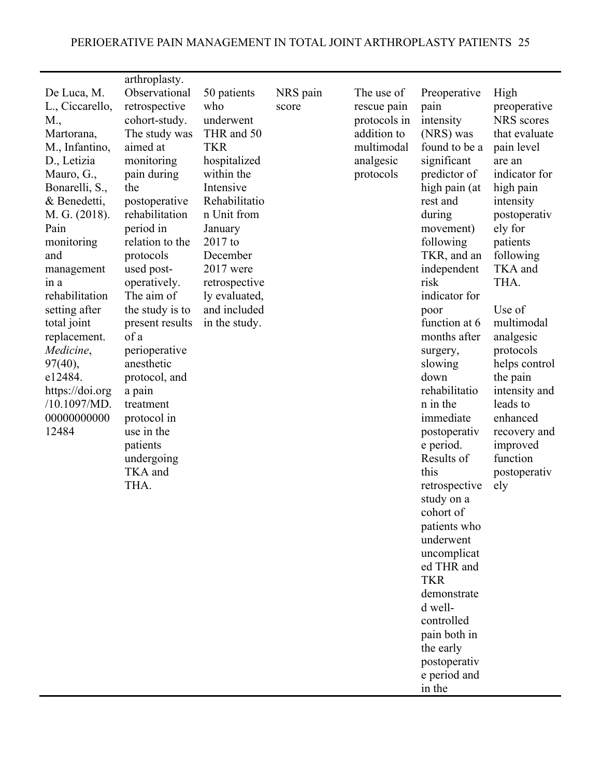| De Luca, M.<br>L., Ciccarello,<br>M.,<br>Martorana,<br>M., Infantino,<br>D., Letizia<br>Mauro, G.,<br>Bonarelli, S.,<br>& Benedetti,<br>M. G. (2018).<br>Pain<br>monitoring<br>and<br>management<br>in a<br>rehabilitation<br>setting after<br>total joint<br>replacement.<br>Medicine,<br>97(40),<br>e12484.<br>https://doi.org<br>/10.1097/MD.<br>00000000000<br>12484 | arthroplasty.<br>Observational<br>retrospective<br>cohort-study.<br>The study was<br>aimed at<br>monitoring<br>pain during<br>the<br>postoperative<br>rehabilitation<br>period in<br>relation to the<br>protocols<br>used post-<br>operatively.<br>The aim of<br>the study is to<br>present results<br>of a<br>perioperative<br>anesthetic<br>protocol, and<br>a pain<br>treatment<br>protocol in<br>use in the<br>patients<br>undergoing<br>TKA and<br>THA. | 50 patients<br>who<br>underwent<br>THR and 50<br><b>TKR</b><br>hospitalized<br>within the<br>Intensive<br>Rehabilitatio<br>n Unit from<br>January<br>$2017$ to<br>December<br>$2017$ were<br>retrospective<br>ly evaluated,<br>and included<br>in the study. | NRS pain<br>score | The use of<br>rescue pain<br>protocols in<br>addition to<br>multimodal<br>analgesic<br>protocols | Preoperative<br>pain<br>intensity<br>(NRS) was<br>found to be a<br>significant<br>predictor of<br>high pain (at<br>rest and<br>during<br>movement)<br>following<br>TKR, and an<br>independent<br>risk<br>indicator for<br>poor<br>function at 6<br>months after<br>surgery,<br>slowing<br>down<br>rehabilitatio<br>n in the<br>immediate<br>postoperativ<br>e period.<br>Results of<br>this<br>retrospective<br>study on a<br>cohort of<br>patients who<br>underwent<br>uncomplicat<br>ed THR and<br><b>TKR</b><br>demonstrate<br>d well-<br>controlled<br>pain both in<br>the early<br>postoperativ<br>e period and<br>in the | High<br>preoperative<br>NRS scores<br>that evaluate<br>pain level<br>are an<br>indicator for<br>high pain<br>intensity<br>postoperativ<br>ely for<br>patients<br>following<br>TKA and<br>THA.<br>Use of<br>multimodal<br>analgesic<br>protocols<br>helps control<br>the pain<br>intensity and<br>leads to<br>enhanced<br>recovery and<br>improved<br>function<br>postoperativ<br>ely |
|--------------------------------------------------------------------------------------------------------------------------------------------------------------------------------------------------------------------------------------------------------------------------------------------------------------------------------------------------------------------------|--------------------------------------------------------------------------------------------------------------------------------------------------------------------------------------------------------------------------------------------------------------------------------------------------------------------------------------------------------------------------------------------------------------------------------------------------------------|--------------------------------------------------------------------------------------------------------------------------------------------------------------------------------------------------------------------------------------------------------------|-------------------|--------------------------------------------------------------------------------------------------|--------------------------------------------------------------------------------------------------------------------------------------------------------------------------------------------------------------------------------------------------------------------------------------------------------------------------------------------------------------------------------------------------------------------------------------------------------------------------------------------------------------------------------------------------------------------------------------------------------------------------------|--------------------------------------------------------------------------------------------------------------------------------------------------------------------------------------------------------------------------------------------------------------------------------------------------------------------------------------------------------------------------------------|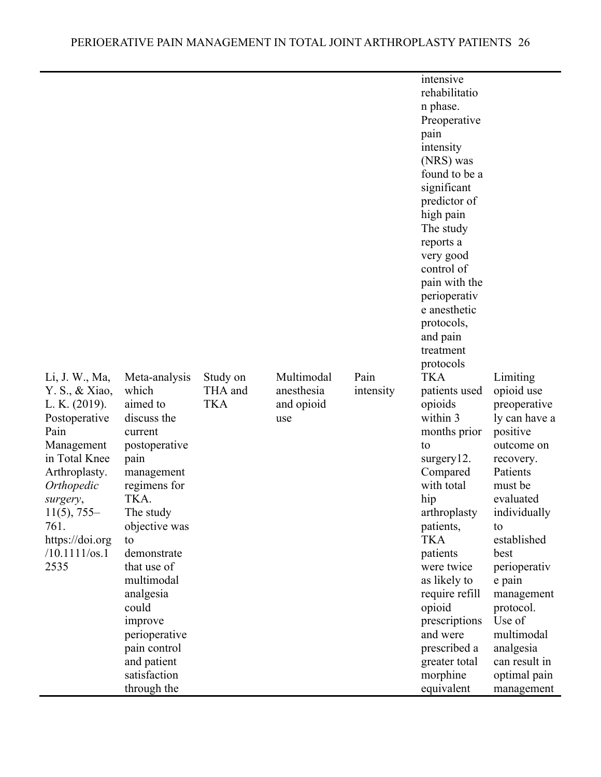|                                                                                                                                                                                                                                     |                                                                                                                                                                                                                                                                                                                             |                                   |                                               |                   | intensive<br>rehabilitatio<br>n phase.<br>Preoperative<br>pain<br>intensity<br>(NRS) was<br>found to be a<br>significant<br>predictor of<br>high pain<br>The study                                                                                                                                                               |                                                                                                                                                                                                                                                                                                                          |
|-------------------------------------------------------------------------------------------------------------------------------------------------------------------------------------------------------------------------------------|-----------------------------------------------------------------------------------------------------------------------------------------------------------------------------------------------------------------------------------------------------------------------------------------------------------------------------|-----------------------------------|-----------------------------------------------|-------------------|----------------------------------------------------------------------------------------------------------------------------------------------------------------------------------------------------------------------------------------------------------------------------------------------------------------------------------|--------------------------------------------------------------------------------------------------------------------------------------------------------------------------------------------------------------------------------------------------------------------------------------------------------------------------|
|                                                                                                                                                                                                                                     |                                                                                                                                                                                                                                                                                                                             |                                   |                                               |                   | control of<br>pain with the<br>perioperativ                                                                                                                                                                                                                                                                                      |                                                                                                                                                                                                                                                                                                                          |
|                                                                                                                                                                                                                                     |                                                                                                                                                                                                                                                                                                                             |                                   |                                               |                   | e anesthetic                                                                                                                                                                                                                                                                                                                     |                                                                                                                                                                                                                                                                                                                          |
|                                                                                                                                                                                                                                     |                                                                                                                                                                                                                                                                                                                             |                                   |                                               |                   | protocols,<br>and pain                                                                                                                                                                                                                                                                                                           |                                                                                                                                                                                                                                                                                                                          |
|                                                                                                                                                                                                                                     |                                                                                                                                                                                                                                                                                                                             |                                   |                                               |                   | treatment<br>protocols                                                                                                                                                                                                                                                                                                           |                                                                                                                                                                                                                                                                                                                          |
| Li, J. W., Ma,<br>Y. S., & Xiao,<br>L. K. (2019).<br>Postoperative<br>Pain<br>Management<br>in Total Knee<br>Arthroplasty.<br>Orthopedic<br>surgery,<br>$11(5)$ , 755-<br>761.<br>https://doi.org<br>$/10.1111/\text{os}.1$<br>2535 | Meta-analysis<br>which<br>aimed to<br>discuss the<br>current<br>postoperative<br>pain<br>management<br>regimens for<br>TKA.<br>The study<br>objective was<br>to<br>demonstrate<br>that use of<br>multimodal<br>analgesia<br>could<br>improve<br>perioperative<br>pain control<br>and patient<br>satisfaction<br>through the | Study on<br>THA and<br><b>TKA</b> | Multimodal<br>anesthesia<br>and opioid<br>use | Pain<br>intensity | <b>TKA</b><br>patients used<br>opioids<br>within 3<br>months prior<br>to<br>surgery12.<br>Compared<br>with total<br>hip<br>arthroplasty<br>patients,<br><b>TKA</b><br>patients<br>were twice<br>as likely to<br>require refill<br>opioid<br>prescriptions<br>and were<br>prescribed a<br>greater total<br>morphine<br>equivalent | Limiting<br>opioid use<br>preoperative<br>ly can have a<br>positive<br>outcome on<br>recovery.<br>Patients<br>must be<br>evaluated<br>individually<br>to<br>established<br>best<br>perioperativ<br>e pain<br>management<br>protocol.<br>Use of<br>multimodal<br>analgesia<br>can result in<br>optimal pain<br>management |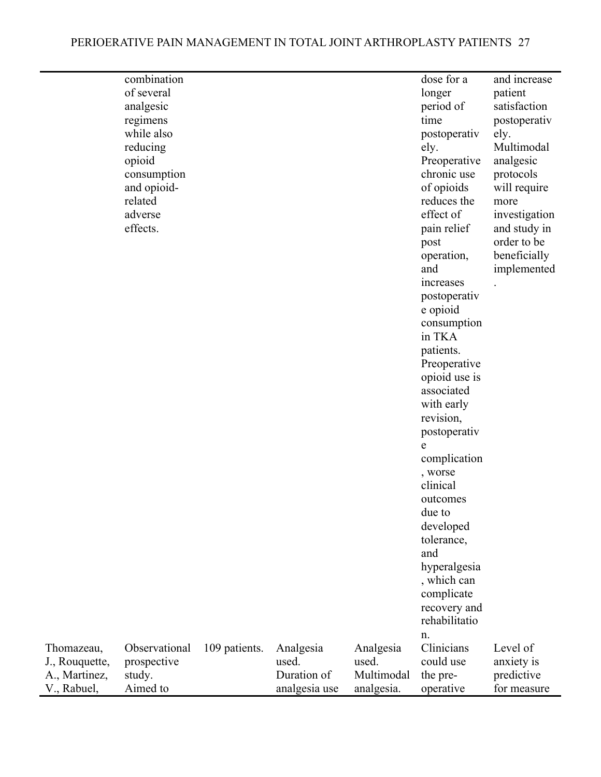# PERIOERATIVE PAIN MANAGEMENT IN TOTAL JOINT ARTHROPLASTY PATIENTS 27

|                | combination   |               |               |            | dose for a          | and increase  |
|----------------|---------------|---------------|---------------|------------|---------------------|---------------|
|                | of several    |               |               |            | longer              | patient       |
|                | analgesic     |               |               |            | period of           | satisfaction  |
|                | regimens      |               |               |            | time                | postoperativ  |
|                | while also    |               |               |            | postoperativ        | ely.          |
|                | reducing      |               |               |            | ely.                | Multimodal    |
|                | opioid        |               |               |            | Preoperative        | analgesic     |
|                | consumption   |               |               |            | chronic use         | protocols     |
|                | and opioid-   |               |               |            | of opioids          | will require  |
|                | related       |               |               |            | reduces the         | more          |
|                | adverse       |               |               |            | effect of           | investigation |
|                | effects.      |               |               |            | pain relief         | and study in  |
|                |               |               |               |            | post                | order to be   |
|                |               |               |               |            | operation,          | beneficially  |
|                |               |               |               |            | and                 | implemented   |
|                |               |               |               |            | increases           |               |
|                |               |               |               |            | postoperativ        |               |
|                |               |               |               |            | e opioid            |               |
|                |               |               |               |            | consumption         |               |
|                |               |               |               |            | in TKA              |               |
|                |               |               |               |            | patients.           |               |
|                |               |               |               |            | Preoperative        |               |
|                |               |               |               |            | opioid use is       |               |
|                |               |               |               |            | associated          |               |
|                |               |               |               |            | with early          |               |
|                |               |               |               |            | revision,           |               |
|                |               |               |               |            | postoperativ        |               |
|                |               |               |               |            | e                   |               |
|                |               |               |               |            | complication        |               |
|                |               |               |               |            | , worse<br>clinical |               |
|                |               |               |               |            |                     |               |
|                |               |               |               |            | outcomes<br>due to  |               |
|                |               |               |               |            | developed           |               |
|                |               |               |               |            | tolerance,          |               |
|                |               |               |               |            | and                 |               |
|                |               |               |               |            | hyperalgesia        |               |
|                |               |               |               |            | , which can         |               |
|                |               |               |               |            | complicate          |               |
|                |               |               |               |            | recovery and        |               |
|                |               |               |               |            | rehabilitatio       |               |
|                |               |               |               |            | n.                  |               |
| Thomazeau,     | Observational | 109 patients. | Analgesia     | Analgesia  | Clinicians          | Level of      |
| J., Rouquette, | prospective   |               | used.         | used.      | could use           | anxiety is    |
| A., Martinez,  | study.        |               | Duration of   | Multimodal | the pre-            | predictive    |
| V., Rabuel,    | Aimed to      |               | analgesia use | analgesia. | operative           | for measure   |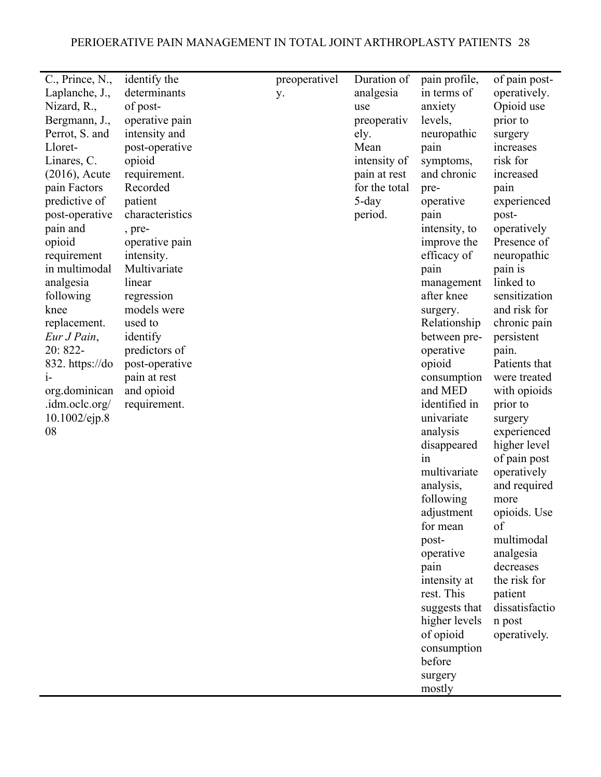| C., Prince, N.,  | identify the    | preoperativel | Duration of   | pain profile, | of pain post-  |
|------------------|-----------------|---------------|---------------|---------------|----------------|
| Laplanche, J.,   | determinants    | y.            | analgesia     | in terms of   | operatively.   |
| Nizard, R.,      | of post-        |               | use           | anxiety       | Opioid use     |
| Bergmann, J.,    | operative pain  |               | preoperativ   | levels,       | prior to       |
| Perrot, S. and   | intensity and   |               | ely.          | neuropathic   | surgery        |
| Lloret-          | post-operative  |               | Mean          | pain          | increases      |
| Linares, C.      | opioid          |               | intensity of  | symptoms,     | risk for       |
| $(2016)$ , Acute | requirement.    |               | pain at rest  | and chronic   | increased      |
| pain Factors     | Recorded        |               | for the total | pre-          | pain           |
| predictive of    | patient         |               | 5-day         | operative     | experienced    |
| post-operative   | characteristics |               | period.       | pain          | post-          |
| pain and         | , pre-          |               |               | intensity, to | operatively    |
| opioid           | operative pain  |               |               | improve the   | Presence of    |
| requirement      | intensity.      |               |               | efficacy of   | neuropathic    |
| in multimodal    | Multivariate    |               |               | pain          | pain is        |
| analgesia        | linear          |               |               | management    | linked to      |
| following        | regression      |               |               | after knee    | sensitization  |
| knee             | models were     |               |               | surgery.      | and risk for   |
| replacement.     | used to         |               |               | Relationship  | chronic pain   |
| Eur J Pain,      | identify        |               |               | between pre-  | persistent     |
| 20: 822-         | predictors of   |               |               | operative     | pain.          |
| 832. https://do  | post-operative  |               |               | opioid        | Patients that  |
| $i-$             | pain at rest    |               |               | consumption   | were treated   |
| org.dominican    | and opioid      |               |               | and MED       | with opioids   |
| .idm.oclc.org/   | requirement.    |               |               | identified in | prior to       |
| 10.1002/ejp.8    |                 |               |               | univariate    | surgery        |
| 08               |                 |               |               | analysis      | experienced    |
|                  |                 |               |               | disappeared   | higher level   |
|                  |                 |               |               | in            | of pain post   |
|                  |                 |               |               | multivariate  | operatively    |
|                  |                 |               |               | analysis,     | and required   |
|                  |                 |               |               | following     | more           |
|                  |                 |               |               | adjustment    | opioids. Use   |
|                  |                 |               |               | for mean      | of             |
|                  |                 |               |               | post-         | multimodal     |
|                  |                 |               |               | operative     | analgesia      |
|                  |                 |               |               | pain          | decreases      |
|                  |                 |               |               | intensity at  | the risk for   |
|                  |                 |               |               | rest. This    | patient        |
|                  |                 |               |               | suggests that | dissatisfactio |
|                  |                 |               |               | higher levels | n post         |
|                  |                 |               |               |               |                |
|                  |                 |               |               | of opioid     | operatively.   |
|                  |                 |               |               | consumption   |                |

before surgery mostly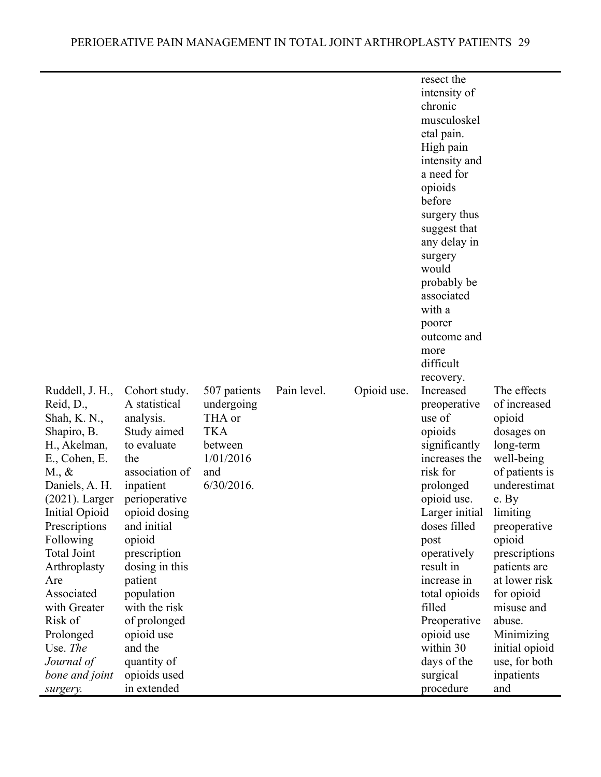|                    |                |               |             |             | resect the     |                |
|--------------------|----------------|---------------|-------------|-------------|----------------|----------------|
|                    |                |               |             |             | intensity of   |                |
|                    |                |               |             |             | chronic        |                |
|                    |                |               |             |             | musculoskel    |                |
|                    |                |               |             |             | etal pain.     |                |
|                    |                |               |             |             | High pain      |                |
|                    |                |               |             |             | intensity and  |                |
|                    |                |               |             |             | a need for     |                |
|                    |                |               |             |             | opioids        |                |
|                    |                |               |             |             | before         |                |
|                    |                |               |             |             | surgery thus   |                |
|                    |                |               |             |             | suggest that   |                |
|                    |                |               |             |             | any delay in   |                |
|                    |                |               |             |             | surgery        |                |
|                    |                |               |             |             | would          |                |
|                    |                |               |             |             | probably be    |                |
|                    |                |               |             |             | associated     |                |
|                    |                |               |             |             | with a         |                |
|                    |                |               |             |             | poorer         |                |
|                    |                |               |             |             | outcome and    |                |
|                    |                |               |             |             | more           |                |
|                    |                |               |             |             | difficult      |                |
|                    |                |               |             |             | recovery.      |                |
| Ruddell, J. H.,    | Cohort study.  | 507 patients  | Pain level. | Opioid use. | Increased      | The effects    |
| Reid, D.,          | A statistical  | undergoing    |             |             | preoperative   | of increased   |
| Shah, K. N.,       | analysis.      | THA or        |             |             | use of         | opioid         |
| Shapiro, B.        | Study aimed    | <b>TKA</b>    |             |             | opioids        | dosages on     |
| H., Akelman,       | to evaluate    | between       |             |             | significantly  | long-term      |
| E., Cohen, E.      | the            | 1/01/2016     |             |             | increases the  | well-being     |
| $M_{\cdot}, \&$    | association of | and           |             |             | risk for       | of patients is |
|                    |                | $6/30/2016$ . |             |             |                | underestimat   |
| Daniels, A. H.     | inpatient      |               |             |             | prolonged      |                |
| $(2021)$ . Larger  | perioperative  |               |             |             | opioid use.    | e. By          |
| Initial Opioid     | opioid dosing  |               |             |             | Larger initial | limiting       |
| Prescriptions      | and initial    |               |             |             | doses filled   | preoperative   |
| Following          | opioid         |               |             |             | post           | opioid         |
| <b>Total Joint</b> | prescription   |               |             |             | operatively    | prescriptions  |
| Arthroplasty       | dosing in this |               |             |             | result in      | patients are   |
| Are                | patient        |               |             |             | increase in    | at lower risk  |
| Associated         | population     |               |             |             | total opioids  | for opioid     |
| with Greater       | with the risk  |               |             |             | filled         | misuse and     |
| Risk of            | of prolonged   |               |             |             | Preoperative   | abuse.         |
| Prolonged          | opioid use     |               |             |             | opioid use     | Minimizing     |
| Use. The           | and the        |               |             |             | within 30      | initial opioid |
| Journal of         | quantity of    |               |             |             | days of the    | use, for both  |
| bone and joint     | opioids used   |               |             |             | surgical       | inpatients     |
| surgery.           | in extended    |               |             |             | procedure      | and            |